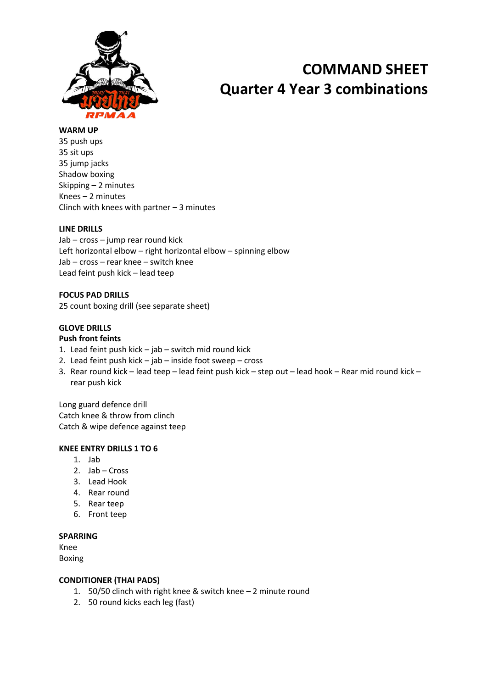

# **COMMAND SHEET Quarter 4 Year 3 combinations**

#### **WARM UP**

35 push ups 35 sit ups 35 jump jacks Shadow boxing Skipping – 2 minutes Knees – 2 minutes Clinch with knees with partner – 3 minutes

#### **LINE DRILLS**

Jab – cross – jump rear round kick Left horizontal elbow – right horizontal elbow – spinning elbow Jab – cross – rear knee – switch knee Lead feint push kick – lead teep

**FOCUS PAD DRILLS** 25 count boxing drill (see separate sheet)

### **GLOVE DRILLS**

#### **Push front feints**

- 1. Lead feint push kick jab switch mid round kick
- 2. Lead feint push kick jab inside foot sweep cross
- 3. Rear round kick lead teep lead feint push kick step out lead hook Rear mid round kick rear push kick

Long guard defence drill Catch knee & throw from clinch Catch & wipe defence against teep

#### **KNEE ENTRY DRILLS 1 TO 6**

- 1. Jab
- 2. Jab Cross
- 3. Lead Hook
- 4. Rear round
- 5. Rear teep
- 6. Front teep

#### **SPARRING**

Knee

Boxing

#### **CONDITIONER (THAI PADS)**

- 1. 50/50 clinch with right knee & switch knee 2 minute round
- 2. 50 round kicks each leg (fast)